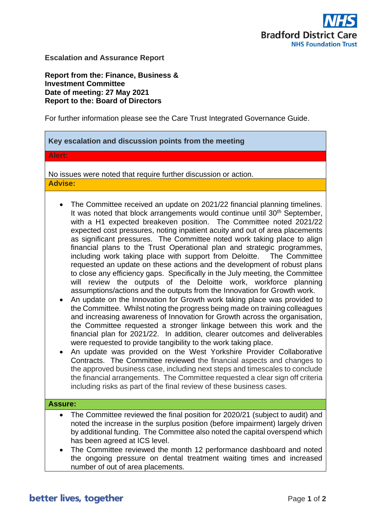

**Escalation and Assurance Report**

 $\blacksquare$ 

**Report from the: Finance, Business & Investment Committee Date of meeting: 27 May 2021 Report to the: Board of Directors** 

For further information please see the Care Trust Integrated Governance Guide.

| Key escalation and discussion points from the meeting                                                                                                                                                                                                                                                                                                                                                                                                                                                                                                                                                                                                                                                                                                                                                                                                                                                                                                                                                                                                                                                                                                                                                                                                                                                                                                                                                                                                                                                                                                                                                                                                                                                                               |
|-------------------------------------------------------------------------------------------------------------------------------------------------------------------------------------------------------------------------------------------------------------------------------------------------------------------------------------------------------------------------------------------------------------------------------------------------------------------------------------------------------------------------------------------------------------------------------------------------------------------------------------------------------------------------------------------------------------------------------------------------------------------------------------------------------------------------------------------------------------------------------------------------------------------------------------------------------------------------------------------------------------------------------------------------------------------------------------------------------------------------------------------------------------------------------------------------------------------------------------------------------------------------------------------------------------------------------------------------------------------------------------------------------------------------------------------------------------------------------------------------------------------------------------------------------------------------------------------------------------------------------------------------------------------------------------------------------------------------------------|
| Alert:                                                                                                                                                                                                                                                                                                                                                                                                                                                                                                                                                                                                                                                                                                                                                                                                                                                                                                                                                                                                                                                                                                                                                                                                                                                                                                                                                                                                                                                                                                                                                                                                                                                                                                                              |
| No issues were noted that require further discussion or action.<br><b>Advise:</b>                                                                                                                                                                                                                                                                                                                                                                                                                                                                                                                                                                                                                                                                                                                                                                                                                                                                                                                                                                                                                                                                                                                                                                                                                                                                                                                                                                                                                                                                                                                                                                                                                                                   |
| The Committee received an update on 2021/22 financial planning timelines.<br>It was noted that block arrangements would continue until 30 <sup>th</sup> September,<br>with a H1 expected breakeven position. The Committee noted 2021/22<br>expected cost pressures, noting inpatient acuity and out of area placements<br>as significant pressures. The Committee noted work taking place to align<br>financial plans to the Trust Operational plan and strategic programmes,<br>including work taking place with support from Deloitte.  The Committee<br>requested an update on these actions and the development of robust plans<br>to close any efficiency gaps. Specifically in the July meeting, the Committee<br>review the outputs of the Deloitte work, workforce planning<br>will<br>assumptions/actions and the outputs from the Innovation for Growth work.<br>An update on the Innovation for Growth work taking place was provided to<br>the Committee. Whilst noting the progress being made on training colleagues<br>and increasing awareness of Innovation for Growth across the organisation,<br>the Committee requested a stronger linkage between this work and the<br>financial plan for 2021/22. In addition, clearer outcomes and deliverables<br>were requested to provide tangibility to the work taking place.<br>An update was provided on the West Yorkshire Provider Collaborative<br>Contracts. The Committee reviewed the financial aspects and changes to<br>the approved business case, including next steps and timescales to conclude<br>the financial arrangements. The Committee requested a clear sign off criteria<br>including risks as part of the final review of these business cases. |
| <b>Assure:</b>                                                                                                                                                                                                                                                                                                                                                                                                                                                                                                                                                                                                                                                                                                                                                                                                                                                                                                                                                                                                                                                                                                                                                                                                                                                                                                                                                                                                                                                                                                                                                                                                                                                                                                                      |
| The Committee reviewed the final position for 2020/21 (subject to audit) and<br>noted the increase in the surplus position (before impairment) largely driven<br>by additional funding. The Committee also noted the capital overspend which<br>has been agreed at ICS level.<br>The Committee reviewed the month 12 performance dashboard and noted<br>$\bullet$<br>the ongoing pressure on dental treatment waiting times and increased                                                                                                                                                                                                                                                                                                                                                                                                                                                                                                                                                                                                                                                                                                                                                                                                                                                                                                                                                                                                                                                                                                                                                                                                                                                                                           |
| number of out of area placements.                                                                                                                                                                                                                                                                                                                                                                                                                                                                                                                                                                                                                                                                                                                                                                                                                                                                                                                                                                                                                                                                                                                                                                                                                                                                                                                                                                                                                                                                                                                                                                                                                                                                                                   |